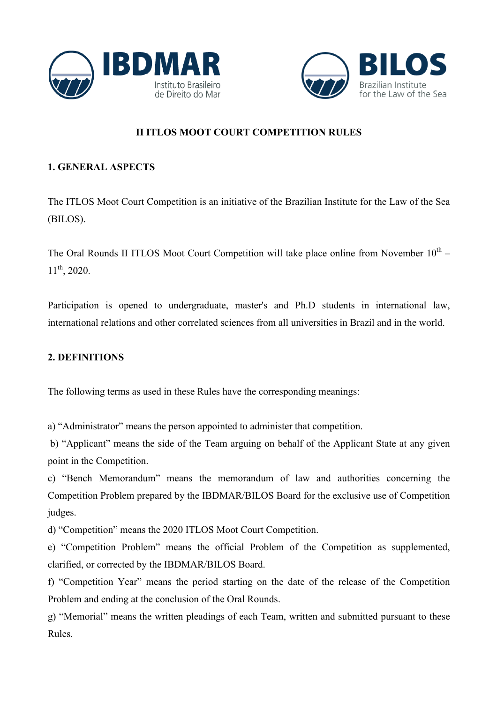



# **II ITLOS MOOT COURT COMPETITION RULES**

## **1. GENERAL ASPECTS**

The ITLOS Moot Court Competition is an initiative of the Brazilian Institute for the Law of the Sea (BILOS).

The Oral Rounds II ITLOS Moot Court Competition will take place online from November  $10^{th}$  –  $11^{th}$ , 2020.

Participation is opened to undergraduate, master's and Ph.D students in international law, international relations and other correlated sciences from all universities in Brazil and in the world.

## **2. DEFINITIONS**

The following terms as used in these Rules have the corresponding meanings:

a) "Administrator" means the person appointed to administer that competition.

b) "Applicant" means the side of the Team arguing on behalf of the Applicant State at any given point in the Competition.

c) "Bench Memorandum" means the memorandum of law and authorities concerning the Competition Problem prepared by the IBDMAR/BILOS Board for the exclusive use of Competition judges.

d) "Competition" means the 2020 ITLOS Moot Court Competition.

e) "Competition Problem" means the official Problem of the Competition as supplemented, clarified, or corrected by the IBDMAR/BILOS Board.

f) "Competition Year" means the period starting on the date of the release of the Competition Problem and ending at the conclusion of the Oral Rounds.

g) "Memorial" means the written pleadings of each Team, written and submitted pursuant to these Rules.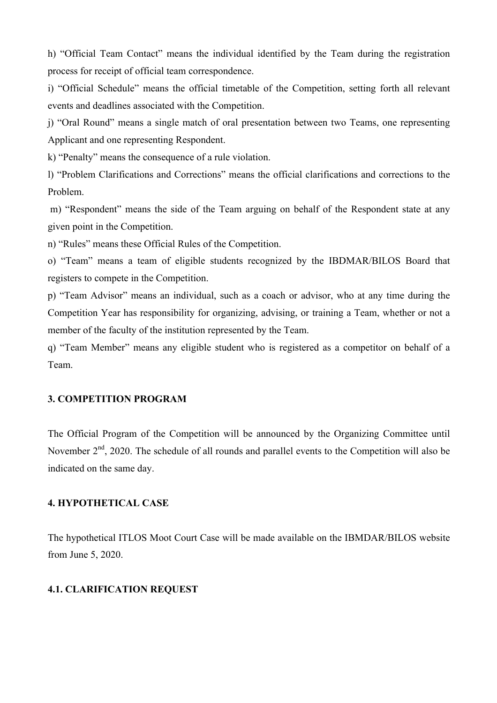h) "Official Team Contact" means the individual identified by the Team during the registration process for receipt of official team correspondence.

i) "Official Schedule" means the official timetable of the Competition, setting forth all relevant events and deadlines associated with the Competition.

j) "Oral Round" means a single match of oral presentation between two Teams, one representing Applicant and one representing Respondent.

k) "Penalty" means the consequence of a rule violation.

l) "Problem Clarifications and Corrections" means the official clarifications and corrections to the Problem.

m) "Respondent" means the side of the Team arguing on behalf of the Respondent state at any given point in the Competition.

n) "Rules" means these Official Rules of the Competition.

o) "Team" means a team of eligible students recognized by the IBDMAR/BILOS Board that registers to compete in the Competition.

p) "Team Advisor" means an individual, such as a coach or advisor, who at any time during the Competition Year has responsibility for organizing, advising, or training a Team, whether or not a member of the faculty of the institution represented by the Team.

q) "Team Member" means any eligible student who is registered as a competitor on behalf of a Team.

## **3. COMPETITION PROGRAM**

The Official Program of the Competition will be announced by the Organizing Committee until November  $2<sup>nd</sup>$ , 2020. The schedule of all rounds and parallel events to the Competition will also be indicated on the same day.

#### **4. HYPOTHETICAL CASE**

The hypothetical ITLOS Moot Court Case will be made available on the IBMDAR/BILOS website from June 5, 2020.

## **4.1. CLARIFICATION REQUEST**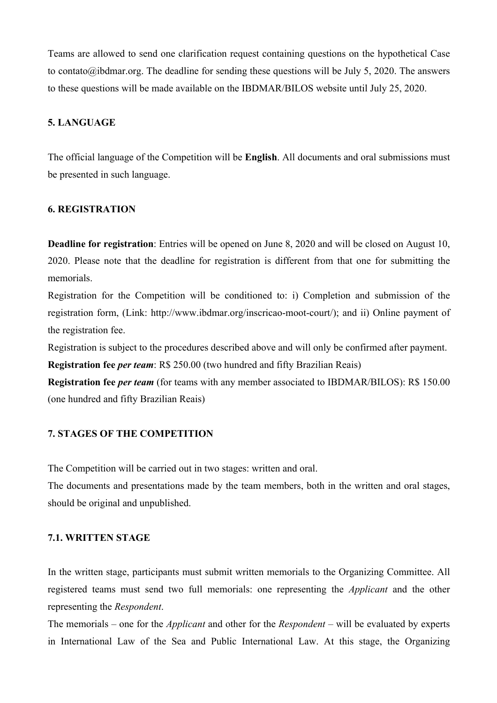Teams are allowed to send one clarification request containing questions on the hypothetical Case to contato@ibdmar.org. The deadline for sending these questions will be July 5, 2020. The answers to these questions will be made available on the IBDMAR/BILOS website until July 25, 2020.

### **5. LANGUAGE**

The official language of the Competition will be **English**. All documents and oral submissions must be presented in such language.

## **6. REGISTRATION**

**Deadline for registration**: Entries will be opened on June 8, 2020 and will be closed on August 10, 2020. Please note that the deadline for registration is different from that one for submitting the memorials.

Registration for the Competition will be conditioned to: i) Completion and submission of the registration form, (Link: http://www.ibdmar.org/inscricao-moot-court/); and ii) Online payment of the registration fee.

Registration is subject to the procedures described above and will only be confirmed after payment.

**Registration fee** *per team*: R\$ 250.00 (two hundred and fifty Brazilian Reais)

**Registration fee** *per team* (for teams with any member associated to IBDMAR/BILOS): R\$ 150.00 (one hundred and fifty Brazilian Reais)

## **7. STAGES OF THE COMPETITION**

The Competition will be carried out in two stages: written and oral.

The documents and presentations made by the team members, both in the written and oral stages, should be original and unpublished.

## **7.1. WRITTEN STAGE**

In the written stage, participants must submit written memorials to the Organizing Committee. All registered teams must send two full memorials: one representing the *Applicant* and the other representing the *Respondent*.

The memorials – one for the *Applicant* and other for the *Respondent* – will be evaluated by experts in International Law of the Sea and Public International Law. At this stage, the Organizing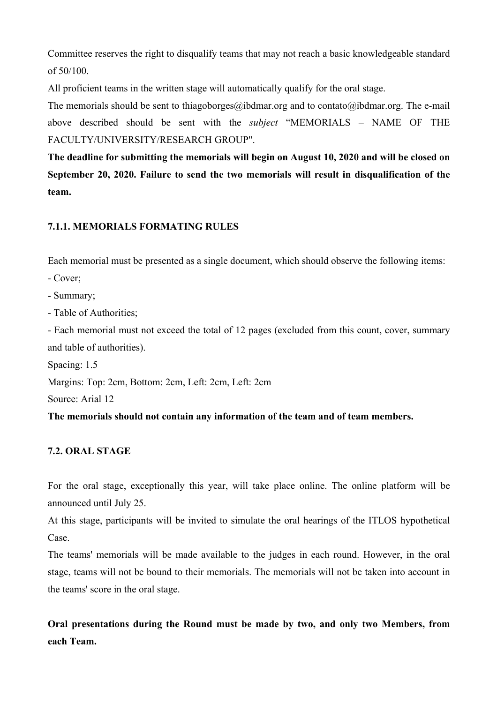Committee reserves the right to disqualify teams that may not reach a basic knowledgeable standard of 50/100.

All proficient teams in the written stage will automatically qualify for the oral stage.

The memorials should be sent to thiagoborges@ibdmar.org and to contato@ibdmar.org. The e-mail above described should be sent with the *subject* "MEMORIALS – NAME OF THE FACULTY/UNIVERSITY/RESEARCH GROUP".

**The deadline for submitting the memorials will begin on August 10, 2020 and will be closed on September 20, 2020. Failure to send the two memorials will result in disqualification of the team.**

# **7.1.1. MEMORIALS FORMATING RULES**

Each memorial must be presented as a single document, which should observe the following items:

- Cover;

- Summary;

- Table of Authorities;

- Each memorial must not exceed the total of 12 pages (excluded from this count, cover, summary and table of authorities).

Spacing: 1.5

Margins: Top: 2cm, Bottom: 2cm, Left: 2cm, Left: 2cm

Source: Arial 12

**The memorials should not contain any information of the team and of team members.**

# **7.2. ORAL STAGE**

For the oral stage, exceptionally this year, will take place online. The online platform will be announced until July 25.

At this stage, participants will be invited to simulate the oral hearings of the ITLOS hypothetical Case.

The teams' memorials will be made available to the judges in each round. However, in the oral stage, teams will not be bound to their memorials. The memorials will not be taken into account in the teams' score in the oral stage.

**Oral presentations during the Round must be made by two, and only two Members, from each Team.**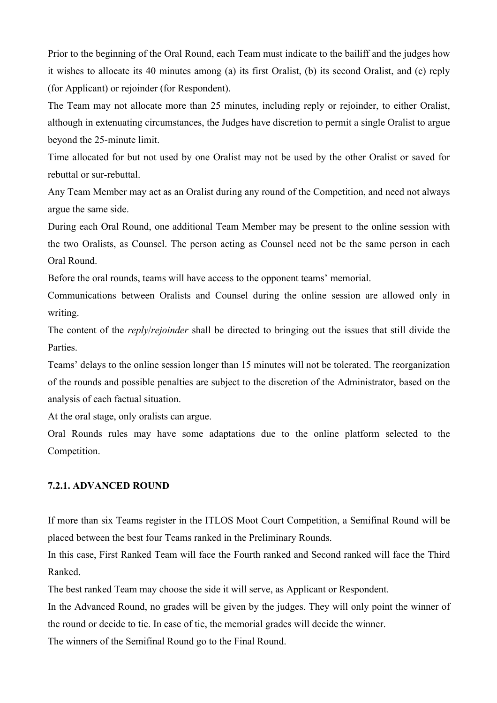Prior to the beginning of the Oral Round, each Team must indicate to the bailiff and the judges how it wishes to allocate its 40 minutes among (a) its first Oralist, (b) its second Oralist, and (c) reply (for Applicant) or rejoinder (for Respondent).

The Team may not allocate more than 25 minutes, including reply or rejoinder, to either Oralist, although in extenuating circumstances, the Judges have discretion to permit a single Oralist to argue beyond the 25-minute limit.

Time allocated for but not used by one Oralist may not be used by the other Oralist or saved for rebuttal or sur-rebuttal.

Any Team Member may act as an Oralist during any round of the Competition, and need not always argue the same side.

During each Oral Round, one additional Team Member may be present to the online session with the two Oralists, as Counsel. The person acting as Counsel need not be the same person in each Oral Round.

Before the oral rounds, teams will have access to the opponent teams' memorial.

Communications between Oralists and Counsel during the online session are allowed only in writing.

The content of the *reply*/*rejoinder* shall be directed to bringing out the issues that still divide the **Parties** 

Teams' delays to the online session longer than 15 minutes will not be tolerated. The reorganization of the rounds and possible penalties are subject to the discretion of the Administrator, based on the analysis of each factual situation.

At the oral stage, only oralists can argue.

Oral Rounds rules may have some adaptations due to the online platform selected to the Competition.

#### **7.2.1. ADVANCED ROUND**

If more than six Teams register in the ITLOS Moot Court Competition, a Semifinal Round will be placed between the best four Teams ranked in the Preliminary Rounds.

In this case, First Ranked Team will face the Fourth ranked and Second ranked will face the Third Ranked.

The best ranked Team may choose the side it will serve, as Applicant or Respondent.

In the Advanced Round, no grades will be given by the judges. They will only point the winner of the round or decide to tie. In case of tie, the memorial grades will decide the winner.

The winners of the Semifinal Round go to the Final Round.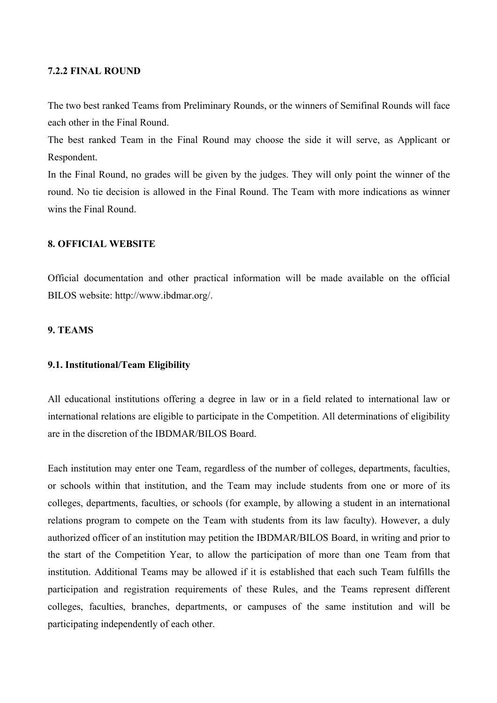### **7.2.2 FINAL ROUND**

The two best ranked Teams from Preliminary Rounds, or the winners of Semifinal Rounds will face each other in the Final Round.

The best ranked Team in the Final Round may choose the side it will serve, as Applicant or Respondent.

In the Final Round, no grades will be given by the judges. They will only point the winner of the round. No tie decision is allowed in the Final Round. The Team with more indications as winner wins the Final Round.

## **8. OFFICIAL WEBSITE**

Official documentation and other practical information will be made available on the official BILOS website: http://www.ibdmar.org/.

#### **9. TEAMS**

#### **9.1. Institutional/Team Eligibility**

All educational institutions offering a degree in law or in a field related to international law or international relations are eligible to participate in the Competition. All determinations of eligibility are in the discretion of the IBDMAR/BILOS Board.

Each institution may enter one Team, regardless of the number of colleges, departments, faculties, or schools within that institution, and the Team may include students from one or more of its colleges, departments, faculties, or schools (for example, by allowing a student in an international relations program to compete on the Team with students from its law faculty). However, a duly authorized officer of an institution may petition the IBDMAR/BILOS Board, in writing and prior to the start of the Competition Year, to allow the participation of more than one Team from that institution. Additional Teams may be allowed if it is established that each such Team fulfills the participation and registration requirements of these Rules, and the Teams represent different colleges, faculties, branches, departments, or campuses of the same institution and will be participating independently of each other.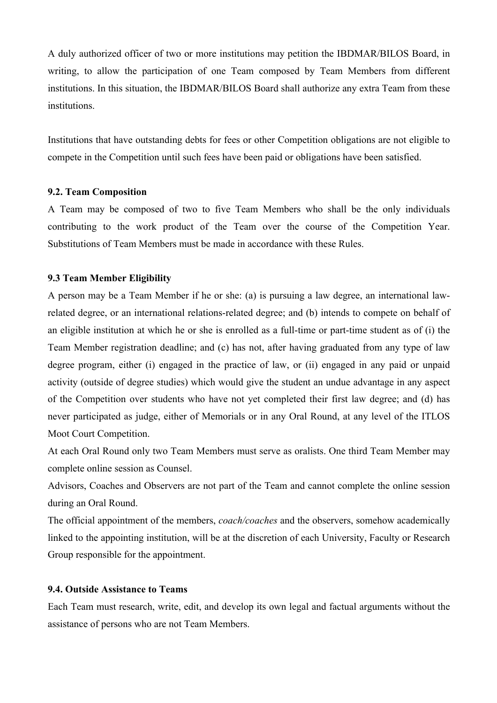A duly authorized officer of two or more institutions may petition the IBDMAR/BILOS Board, in writing, to allow the participation of one Team composed by Team Members from different institutions. In this situation, the IBDMAR/BILOS Board shall authorize any extra Team from these institutions.

Institutions that have outstanding debts for fees or other Competition obligations are not eligible to compete in the Competition until such fees have been paid or obligations have been satisfied.

#### **9.2. Team Composition**

A Team may be composed of two to five Team Members who shall be the only individuals contributing to the work product of the Team over the course of the Competition Year. Substitutions of Team Members must be made in accordance with these Rules.

## **9.3 Team Member Eligibility**

A person may be a Team Member if he or she: (a) is pursuing a law degree, an international lawrelated degree, or an international relations-related degree; and (b) intends to compete on behalf of an eligible institution at which he or she is enrolled as a full-time or part-time student as of (i) the Team Member registration deadline; and (c) has not, after having graduated from any type of law degree program, either (i) engaged in the practice of law, or (ii) engaged in any paid or unpaid activity (outside of degree studies) which would give the student an undue advantage in any aspect of the Competition over students who have not yet completed their first law degree; and (d) has never participated as judge, either of Memorials or in any Oral Round, at any level of the ITLOS Moot Court Competition.

At each Oral Round only two Team Members must serve as oralists. One third Team Member may complete online session as Counsel.

Advisors, Coaches and Observers are not part of the Team and cannot complete the online session during an Oral Round.

The official appointment of the members, *coach/coaches* and the observers, somehow academically linked to the appointing institution, will be at the discretion of each University, Faculty or Research Group responsible for the appointment.

## **9.4. Outside Assistance to Teams**

Each Team must research, write, edit, and develop its own legal and factual arguments without the assistance of persons who are not Team Members.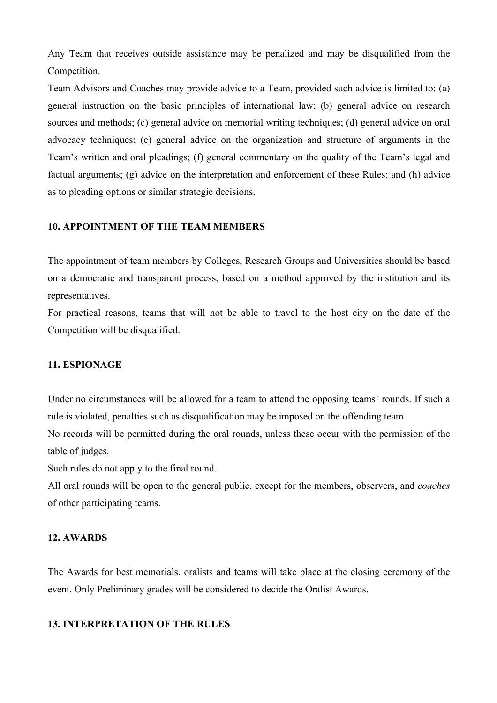Any Team that receives outside assistance may be penalized and may be disqualified from the Competition.

Team Advisors and Coaches may provide advice to a Team, provided such advice is limited to: (a) general instruction on the basic principles of international law; (b) general advice on research sources and methods; (c) general advice on memorial writing techniques; (d) general advice on oral advocacy techniques; (e) general advice on the organization and structure of arguments in the Team's written and oral pleadings; (f) general commentary on the quality of the Team's legal and factual arguments; (g) advice on the interpretation and enforcement of these Rules; and (h) advice as to pleading options or similar strategic decisions.

## **10. APPOINTMENT OF THE TEAM MEMBERS**

The appointment of team members by Colleges, Research Groups and Universities should be based on a democratic and transparent process, based on a method approved by the institution and its representatives.

For practical reasons, teams that will not be able to travel to the host city on the date of the Competition will be disqualified.

#### **11. ESPIONAGE**

Under no circumstances will be allowed for a team to attend the opposing teams' rounds. If such a rule is violated, penalties such as disqualification may be imposed on the offending team.

No records will be permitted during the oral rounds, unless these occur with the permission of the table of judges.

Such rules do not apply to the final round.

All oral rounds will be open to the general public, except for the members, observers, and *coaches* of other participating teams.

## **12. AWARDS**

The Awards for best memorials, oralists and teams will take place at the closing ceremony of the event. Only Preliminary grades will be considered to decide the Oralist Awards.

#### **13. INTERPRETATION OF THE RULES**